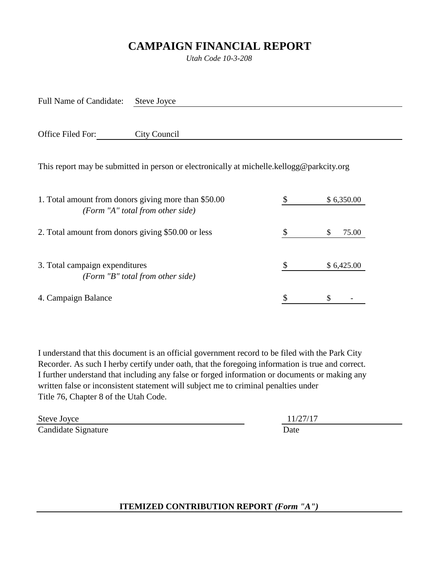## **CAMPAIGN FINANCIAL REPORT**

*Utah Code 10-3-208*

Full Name of Candidate: Steve Joyce

Office Filed For: City Council

This report may be submitted in person or electronically at michelle.kellogg@parkcity.org

| 1. Total amount from donors giving more than \$50.00<br>(Form "A" total from other side) | \$6,350.00 |  |
|------------------------------------------------------------------------------------------|------------|--|
| 2. Total amount from donors giving \$50.00 or less                                       | 75.00<br>S |  |
| 3. Total campaign expenditures<br>(Form "B" total from other side)                       | \$6,425.00 |  |
| 4. Campaign Balance                                                                      |            |  |

I understand that this document is an official government record to be filed with the Park City Recorder. As such I herby certify under oath, that the foregoing information is true and correct. I further understand that including any false or forged information or documents or making any written false or inconsistent statement will subject me to criminal penalties under Title 76, Chapter 8 of the Utah Code.

Steve Joyce 11/27/17 Candidate Signature Date

**ITEMIZED CONTRIBUTION REPORT** *(Form "A")*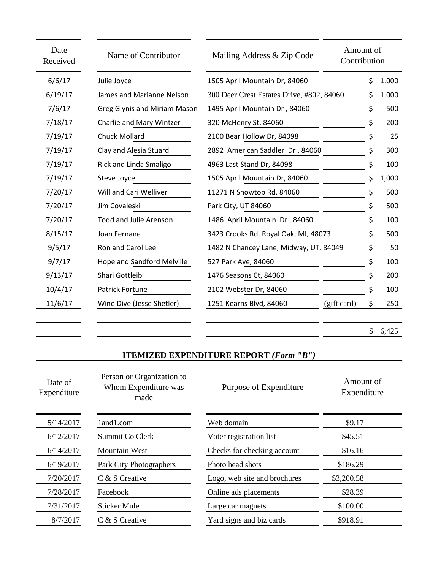| Date<br>Received | Name of Contributor               | Mailing Address & Zip Code                | Amount of<br>Contribution |             |
|------------------|-----------------------------------|-------------------------------------------|---------------------------|-------------|
| 6/6/17           | Julie Joyce                       | 1505 April Mountain Dr, 84060             |                           | \$<br>1,000 |
| 6/19/17          | James and Marianne Nelson         | 300 Deer Crest Estates Drive, #802, 84060 |                           | \$<br>1,000 |
| 7/6/17           | Greg Glynis and Miriam Mason      | 1495 April Mountain Dr, 84060             |                           | \$<br>500   |
| 7/18/17          | Charlie and Mary Wintzer          | 320 McHenry St, 84060                     |                           | 200         |
| 7/19/17          | <b>Chuck Mollard</b>              | 2100 Bear Hollow Dr, 84098                |                           | 25          |
| 7/19/17          | Clay and Alesia Stuard            | 2892 American Saddler Dr, 84060           |                           | 300         |
| 7/19/17          | Rick and Linda Smaligo            | 4963 Last Stand Dr, 84098                 |                           | \$<br>100   |
| 7/19/17          | Steve Joyce                       | 1505 April Mountain Dr, 84060             |                           | \$<br>1,000 |
| 7/20/17          | Will and Cari Welliver            | 11271 N Snowtop Rd, 84060                 |                           | \$<br>500   |
| 7/20/17          | Jim Covaleski                     | Park City, UT 84060                       |                           | \$<br>500   |
| 7/20/17          | <b>Todd and Julie Arenson</b>     | 1486 April Mountain Dr, 84060             |                           | \$<br>100   |
| 8/15/17          | Joan Fernane                      | 3423 Crooks Rd, Royal Oak, MI, 48073      |                           | 500         |
| 9/5/17           | Ron and Carol Lee                 | 1482 N Chancey Lane, Midway, UT, 84049    |                           | \$<br>50    |
| 9/7/17           | <b>Hope and Sandford Melville</b> | 527 Park Ave, 84060                       |                           | \$<br>100   |
| 9/13/17          | Shari Gottleib                    | 1476 Seasons Ct, 84060                    |                           | \$<br>200   |
| 10/4/17          | Patrick Fortune                   | 2102 Webster Dr, 84060                    |                           | \$<br>100   |
| 11/6/17          | Wine Dive (Jesse Shetler)         | 1251 Kearns Blvd, 84060                   | (gift card)               | \$<br>250   |
|                  |                                   |                                           |                           |             |

 $$6,425$ 

 $\overline{a}$ 

## **ITEMIZED EXPENDITURE REPORT** *(Form "B")*

| Date of<br>Expenditure | Person or Organization to<br>Whom Expenditure was<br>made | Purpose of Expenditure       | Amount of<br>Expenditure |
|------------------------|-----------------------------------------------------------|------------------------------|--------------------------|
| 5/14/2017              | land1.com                                                 | Web domain                   | \$9.17                   |
| 6/12/2017              | Summit Co Clerk                                           | Voter registration list      | \$45.51                  |
| 6/14/2017              | <b>Mountain West</b>                                      | Checks for checking account  | \$16.16                  |
| 6/19/2017              | Park City Photographers                                   | Photo head shots             | \$186.29                 |
| 7/20/2017              | C & S Creative                                            | Logo, web site and brochures | \$3,200.58               |
| 7/28/2017              | Facebook                                                  | Online ads placements        | \$28.39                  |
| 7/31/2017              | Sticker Mule                                              | Large car magnets            | \$100.00                 |
| 8/7/2017               | C & S Creative                                            | Yard signs and biz cards     | \$918.91                 |